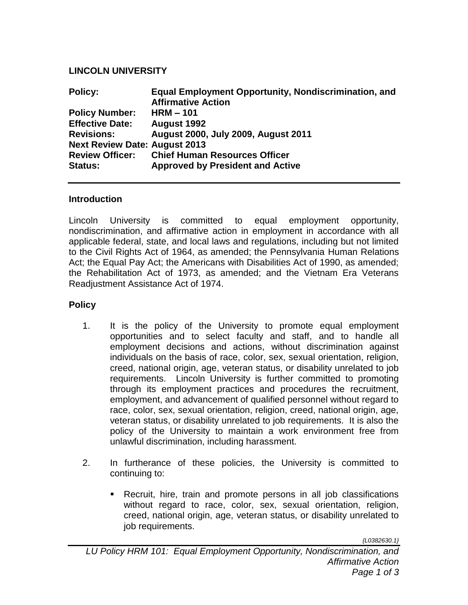## **LINCOLN UNIVERSITY**

| <b>Policy:</b>                       | <b>Equal Employment Opportunity, Nondiscrimination, and</b><br><b>Affirmative Action</b> |
|--------------------------------------|------------------------------------------------------------------------------------------|
| <b>Policy Number:</b>                | $HRM - 101$                                                                              |
| <b>Effective Date:</b>               | <b>August 1992</b>                                                                       |
| <b>Revisions:</b>                    | August 2000, July 2009, August 2011                                                      |
| <b>Next Review Date: August 2013</b> |                                                                                          |
| <b>Review Officer:</b>               | <b>Chief Human Resources Officer</b>                                                     |
| <b>Status:</b>                       | <b>Approved by President and Active</b>                                                  |

## **Introduction**

Lincoln University is committed to equal employment opportunity, nondiscrimination, and affirmative action in employment in accordance with all applicable federal, state, and local laws and regulations, including but not limited to the Civil Rights Act of 1964, as amended; the Pennsylvania Human Relations Act; the Equal Pay Act; the Americans with Disabilities Act of 1990, as amended; the Rehabilitation Act of 1973, as amended; and the Vietnam Era Veterans Readjustment Assistance Act of 1974.

## **Policy**

- 1. It is the policy of the University to promote equal employment opportunities and to select faculty and staff, and to handle all employment decisions and actions, without discrimination against individuals on the basis of race, color, sex, sexual orientation, religion, creed, national origin, age, veteran status, or disability unrelated to job requirements. Lincoln University is further committed to promoting through its employment practices and procedures the recruitment, employment, and advancement of qualified personnel without regard to race, color, sex, sexual orientation, religion, creed, national origin, age, veteran status, or disability unrelated to job requirements. It is also the policy of the University to maintain a work environment free from unlawful discrimination, including harassment.
- 2. In furtherance of these policies, the University is committed to continuing to:
	- Recruit, hire, train and promote persons in all job classifications without regard to race, color, sex, sexual orientation, religion, creed, national origin, age, veteran status, or disability unrelated to job requirements.

*{L0382630.1}*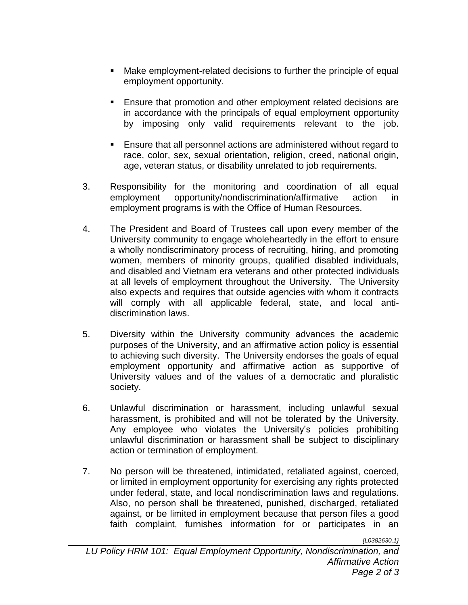- Make employment-related decisions to further the principle of equal employment opportunity.
- Ensure that promotion and other employment related decisions are in accordance with the principals of equal employment opportunity by imposing only valid requirements relevant to the job.
- Ensure that all personnel actions are administered without regard to race, color, sex, sexual orientation, religion, creed, national origin, age, veteran status, or disability unrelated to job requirements.
- 3. Responsibility for the monitoring and coordination of all equal employment opportunity/nondiscrimination/affirmative action in employment programs is with the Office of Human Resources.
- 4. The President and Board of Trustees call upon every member of the University community to engage wholeheartedly in the effort to ensure a wholly nondiscriminatory process of recruiting, hiring, and promoting women, members of minority groups, qualified disabled individuals, and disabled and Vietnam era veterans and other protected individuals at all levels of employment throughout the University. The University also expects and requires that outside agencies with whom it contracts will comply with all applicable federal, state, and local antidiscrimination laws.
- 5. Diversity within the University community advances the academic purposes of the University, and an affirmative action policy is essential to achieving such diversity. The University endorses the goals of equal employment opportunity and affirmative action as supportive of University values and of the values of a democratic and pluralistic society.
- 6. Unlawful discrimination or harassment, including unlawful sexual harassment, is prohibited and will not be tolerated by the University. Any employee who violates the University's policies prohibiting unlawful discrimination or harassment shall be subject to disciplinary action or termination of employment.
- 7. No person will be threatened, intimidated, retaliated against, coerced, or limited in employment opportunity for exercising any rights protected under federal, state, and local nondiscrimination laws and regulations. Also, no person shall be threatened, punished, discharged, retaliated against, or be limited in employment because that person files a good faith complaint, furnishes information for or participates in an

*{L0382630.1}*